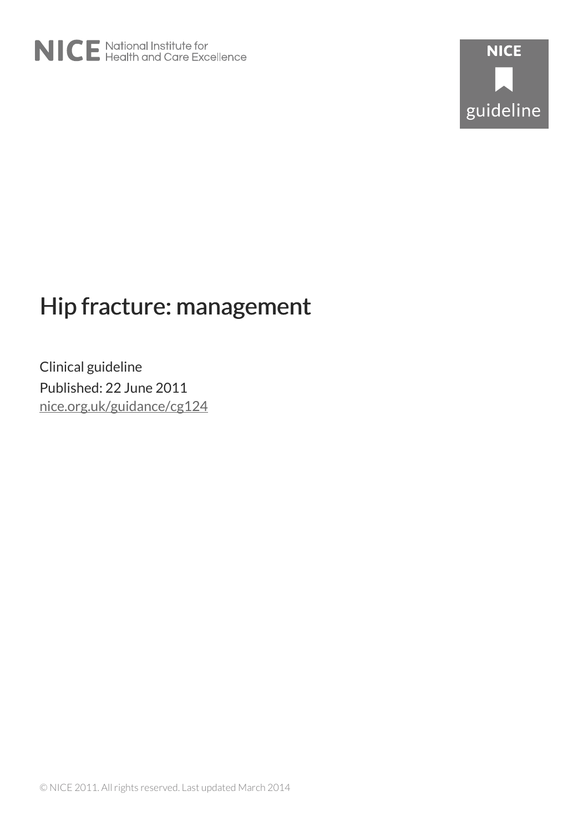

# Hip fracture: management

Clinical guideline Published: 22 June 2011 [nice.org.uk/guidance/cg124](http://nice.org.uk/guidance/cg124)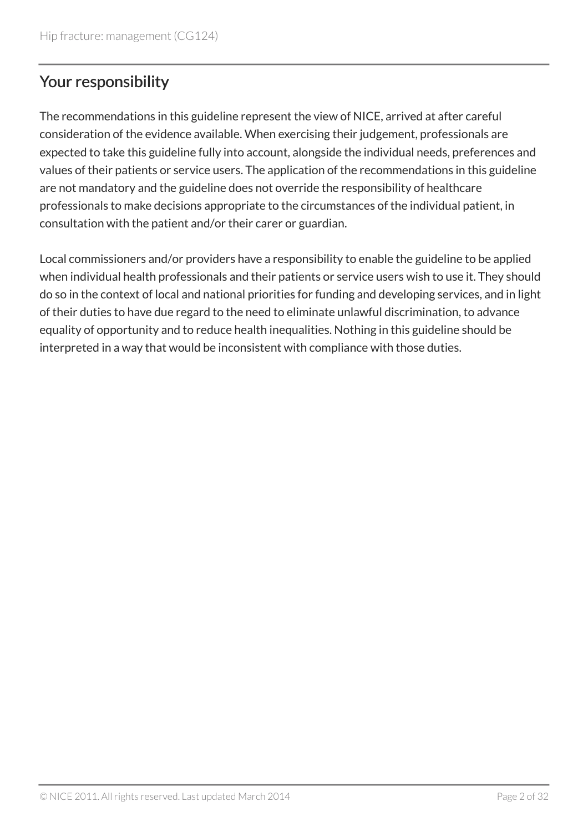# Your responsibility

The recommendations in this guideline represent the view of NICE, arrived at after careful consideration of the evidence available. When exercising their judgement, professionals are expected to take this guideline fully into account, alongside the individual needs, preferences and values of their patients or service users. The application of the recommendations in this guideline are not mandatory and the guideline does not override the responsibility of healthcare professionals to make decisions appropriate to the circumstances of the individual patient, in consultation with the patient and/or their carer or guardian.

Local commissioners and/or providers have a responsibility to enable the guideline to be applied when individual health professionals and their patients or service users wish to use it. They should do so in the context of local and national priorities for funding and developing services, and in light of their duties to have due regard to the need to eliminate unlawful discrimination, to advance equality of opportunity and to reduce health inequalities. Nothing in this guideline should be interpreted in a way that would be inconsistent with compliance with those duties.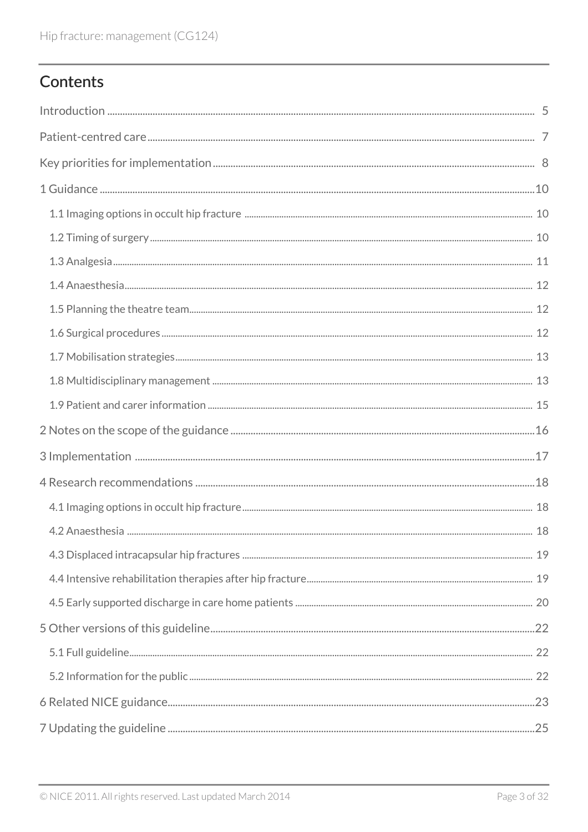# Contents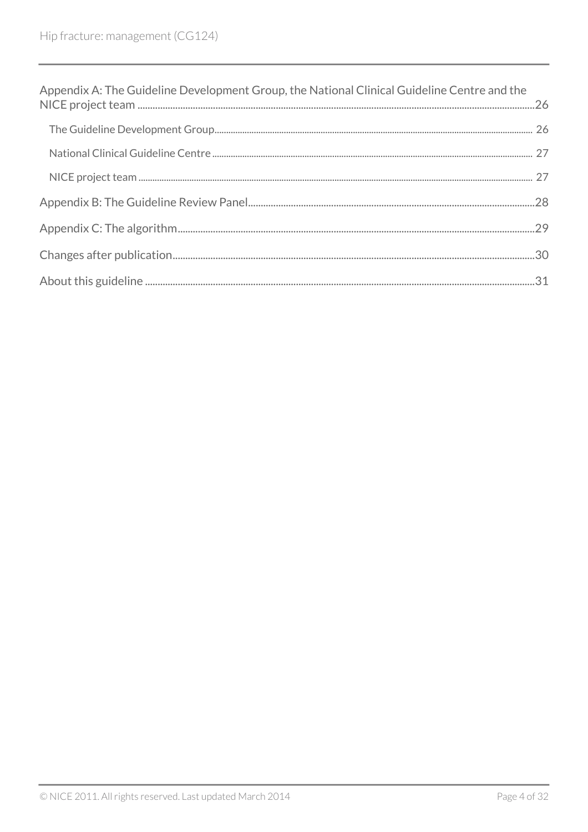| Appendix A: The Guideline Development Group, the National Clinical Guideline Centre and the |  |
|---------------------------------------------------------------------------------------------|--|
|                                                                                             |  |
|                                                                                             |  |
|                                                                                             |  |
|                                                                                             |  |
|                                                                                             |  |
|                                                                                             |  |
|                                                                                             |  |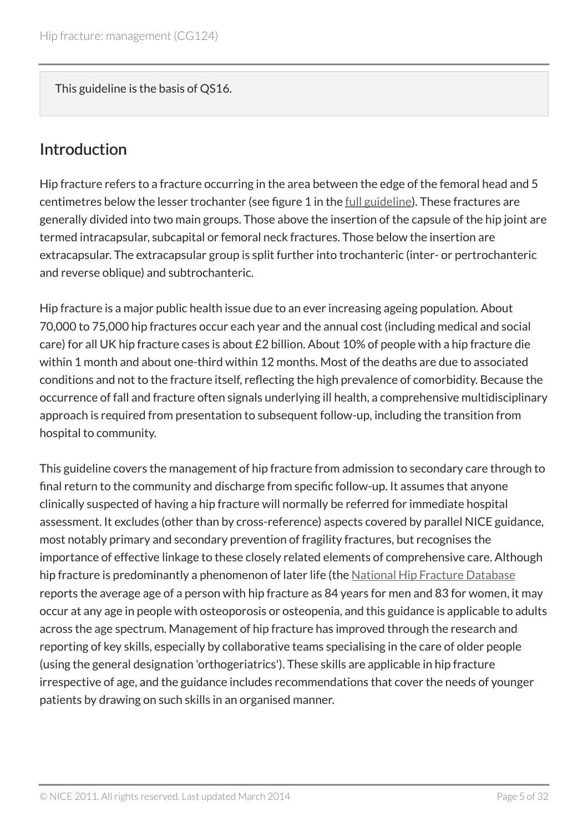This guideline is the basis of QS16.

### <span id="page-4-0"></span>Introduction

Hip fracture refers to a fracture occurring in the area between the edge of the femoral head and 5 centimetres below the lesser trochanter (see figure 1 in the [full guideline\)](http://www.nice.org.uk/guidance/cg124/evidence). These fractures are generally divided into two main groups. Those above the insertion of the capsule of the hip joint are termed intracapsular, subcapital or femoral neck fractures. Those below the insertion are extracapsular. The extracapsular group is split further into trochanteric (inter- or pertrochanteric and reverse oblique) and subtrochanteric.

Hip fracture is a major public health issue due to an ever increasing ageing population. About 70,000 to 75,000 hip fractures occur each year and the annual cost (including medical and social care) for all UK hip fracture cases is about £2 billion. About 10% of people with a hip fracture die within 1 month and about one-third within 12 months. Most of the deaths are due to associated conditions and not to the fracture itself, reflecting the high prevalence of comorbidity. Because the occurrence of fall and fracture often signals underlying ill health, a comprehensive multidisciplinary approach is required from presentation to subsequent follow-up, including the transition from hospital to community.

This guideline covers the management of hip fracture from admission to secondary care through to final return to the community and discharge from specific follow-up. It assumes that anyone clinically suspected of having a hip fracture will normally be referred for immediate hospital assessment. It excludes (other than by cross-reference) aspects covered by parallel NICE guidance, most notably primary and secondary prevention of fragility fractures, but recognises the importance of effective linkage to these closely related elements of comprehensive care. Although hip fracture is predominantly a phenomenon of later life (the [National Hip Fracture Database](http://www.nhfd.co.uk/) reports the average age of a person with hip fracture as 84 years for men and 83 for women, it may occur at any age in people with osteoporosis or osteopenia, and this guidance is applicable to adults across the age spectrum. Management of hip fracture has improved through the research and reporting of key skills, especially by collaborative teams specialising in the care of older people (using the general designation 'orthogeriatrics'). These skills are applicable in hip fracture irrespective of age, and the guidance includes recommendations that cover the needs of younger patients by drawing on such skills in an organised manner.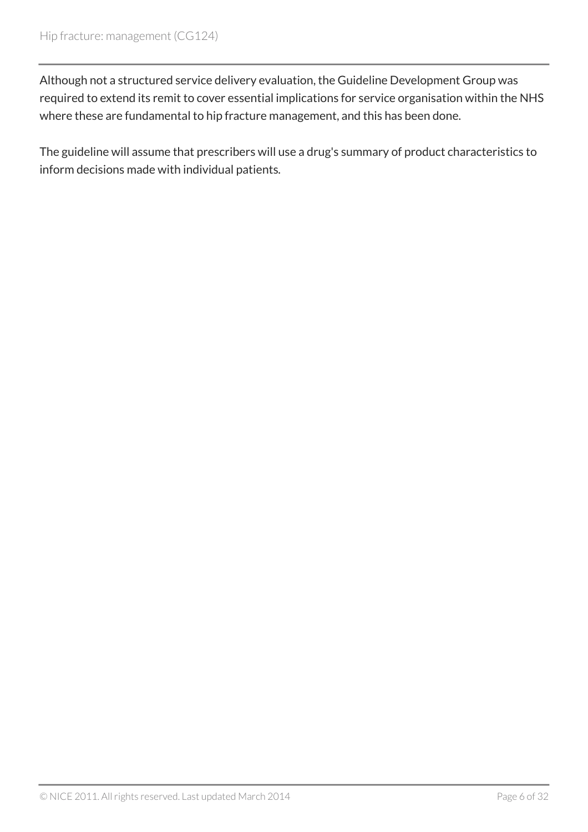Although not a structured service delivery evaluation, the Guideline Development Group was required to extend its remit to cover essential implications for service organisation within the NHS where these are fundamental to hip fracture management, and this has been done.

The guideline will assume that prescribers will use a drug's summary of product characteristics to inform decisions made with individual patients*.*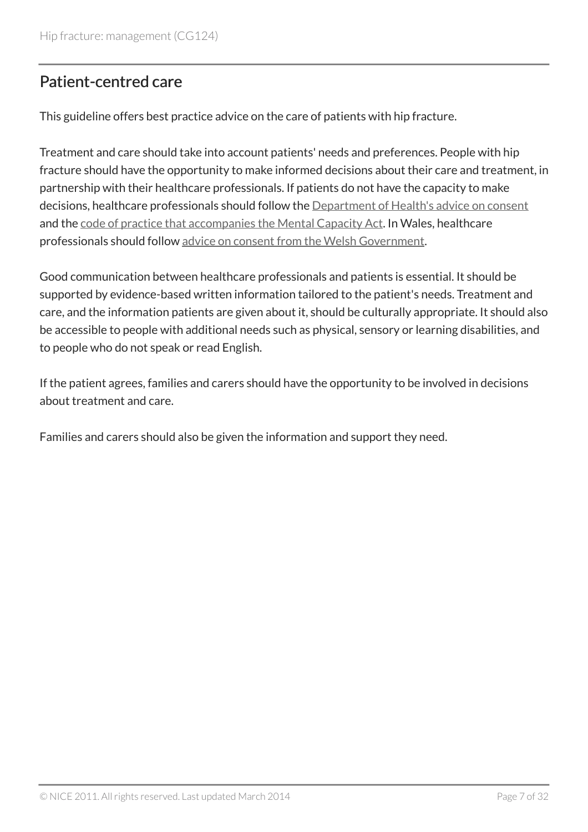### <span id="page-6-0"></span>Patient-centred care

This guideline offers best practice advice on the care of patients with hip fracture.

Treatment and care should take into account patients' needs and preferences. People with hip fracture should have the opportunity to make informed decisions about their care and treatment, in partnership with their healthcare professionals. If patients do not have the capacity to make decisions, healthcare professionals should follow the [Department of Health's advice on consent](http://www.dh.gov.uk/en/DH_103643) and the [code of practice that accompanies the Mental Capacity Act](http://www.justice.gov.uk/protecting-the-vulnerable/mental-capacity-act). In Wales, healthcare professionals should follow [advice on consent from the Welsh Government.](http://www.wales.nhs.uk/consent)

Good communication between healthcare professionals and patients is essential. It should be supported by evidence-based written information tailored to the patient's needs. Treatment and care, and the information patients are given about it, should be culturally appropriate. It should also be accessible to people with additional needs such as physical, sensory or learning disabilities, and to people who do not speak or read English.

If the patient agrees, families and carers should have the opportunity to be involved in decisions about treatment and care.

Families and carers should also be given the information and support they need.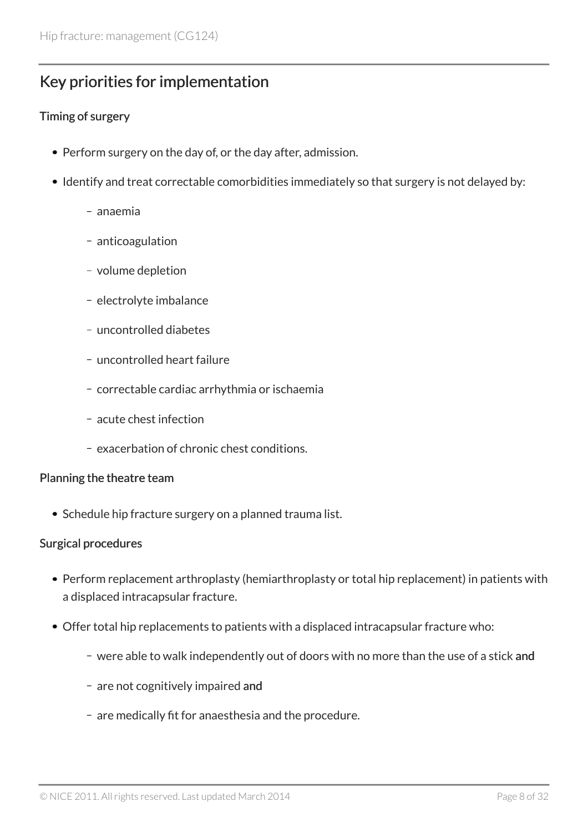### <span id="page-7-0"></span>Key priorities for implementation

#### Timing of surgery

- Perform surgery on the day of, or the day after, admission.
- Identify and treat correctable comorbidities immediately so that surgery is not delayed by:
	- anaemia
	- anticoagulation
	- volume depletion
	- electrolyte imbalance
	- uncontrolled diabetes
	- uncontrolled heart failure
	- correctable cardiac arrhythmia or ischaemia
	- acute chest infection
	- exacerbation of chronic chest conditions.

#### Planning the theatre team

• Schedule hip fracture surgery on a planned trauma list.

#### Surgical procedures

- Perform replacement arthroplasty (hemiarthroplasty or total hip replacement) in patients with a displaced intracapsular fracture.
- Offer total hip replacements to patients with a displaced intracapsular fracture who:
	- were able to walk independently out of doors with no more than the use of a stick and
	- are not cognitively impaired and
	- are medically fit for anaesthesia and the procedure.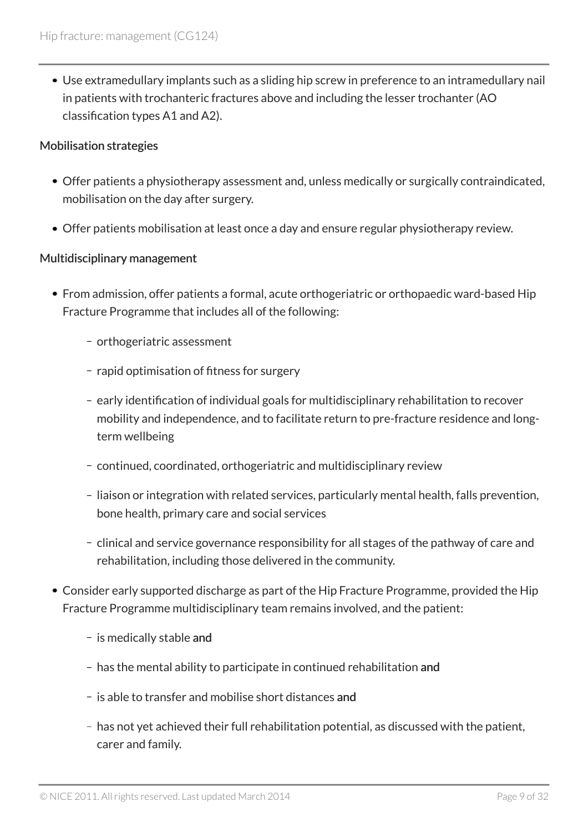Use extramedullary implants such as a sliding hip screw in preference to an intramedullary nail in patients with trochanteric fractures above and including the lesser trochanter (AO classification types A1 and A2).

#### Mobilisation strategies

- Offer patients a physiotherapy assessment and, unless medically or surgically contraindicated, mobilisation on the day after surgery.
- Offer patients mobilisation at least once a day and ensure regular physiotherapy review.

#### Multidisciplinary management

- From admission, offer patients a formal, acute orthogeriatric or orthopaedic ward-based Hip Fracture Programme that includes all of the following:
	- orthogeriatric assessment
	- rapid optimisation of fitness for surgery
	- early identification of individual goals for multidisciplinary rehabilitation to recover mobility and independence, and to facilitate return to pre-fracture residence and longterm wellbeing
	- continued, coordinated, orthogeriatric and multidisciplinary review
	- liaison or integration with related services, particularly mental health, falls prevention, bone health, primary care and social services
	- clinical and service governance responsibility for all stages of the pathway of care and rehabilitation, including those delivered in the community.
- Consider early supported discharge as part of the Hip Fracture Programme, provided the Hip Fracture Programme multidisciplinary team remains involved, and the patient:
	- is medically stable and
	- has the mental ability to participate in continued rehabilitation and
	- is able to transfer and mobilise short distances and
	- has not yet achieved their full rehabilitation potential, as discussed with the patient, carer and family.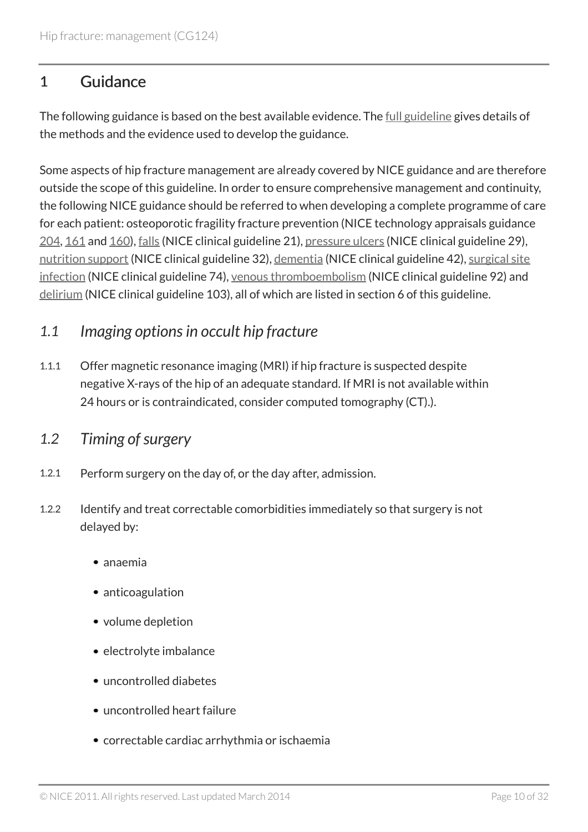### <span id="page-9-0"></span>1 Guidance

The following guidance is based on the best available evidence. The <u>[full guideline](http://www.nice.org.uk/guidance/cg124/evidence)</u> gives details of the methods and the evidence used to develop the guidance.

Some aspects of hip fracture management are already covered by NICE guidance and are therefore outside the scope of this guideline. In order to ensure comprehensive management and continuity, the following NICE guidance should be referred to when developing a complete programme of care for each patient: osteoporotic fragility fracture prevention (NICE technology appraisals guidance [204,](http://www.nice.org.uk/guidance/ta204) [161](http://www.nice.org.uk/guidance/ta161) and [160\)](http://www.nice.org.uk/guidance/ta160), [falls](http://www.nice.org.uk/guidance/cg21) (NICE clinical guideline 21), [pressure ulcers](http://www.nice.org.uk/guidance/cg29) (NICE clinical guideline 29), [nutrition support](http://www.nice.org.uk/guidance/cg32) (NICE clinical guideline 32), [dementia](http://www.nice.org.uk/guidance/cg42) (NICE clinical guideline 42), [surgical site](http://www.nice.org.uk/guidance/cg74) [infection](http://www.nice.org.uk/guidance/cg74) (NICE clinical guideline 74), [venous thromboembolism](http://www.nice.org.uk/guidance/cg92) (NICE clinical guideline 92) and [delirium](http://www.nice.org.uk/guidance/cg103) (NICE clinical guideline 103), all of which are listed in section 6 of this guideline.

### <span id="page-9-1"></span>*1.1 Imaging options in occult hip fracture*

1.1.1 Offer magnetic resonance imaging (MRI) if hip fracture is suspected despite negative X-rays of the hip of an adequate standard. If MRI is not available within 24 hours or is contraindicated, consider computed tomography (CT).).

### <span id="page-9-2"></span>*1.2 Timing of surgery*

- 1.2.1 Perform surgery on the day of, or the day after, admission.
- 1.2.2 Identify and treat correctable comorbidities immediately so that surgery is not delayed by:
	- anaemia
	- anticoagulation
	- volume depletion
	- electrolyte imbalance
	- uncontrolled diabetes
	- uncontrolled heart failure
	- correctable cardiac arrhythmia or ischaemia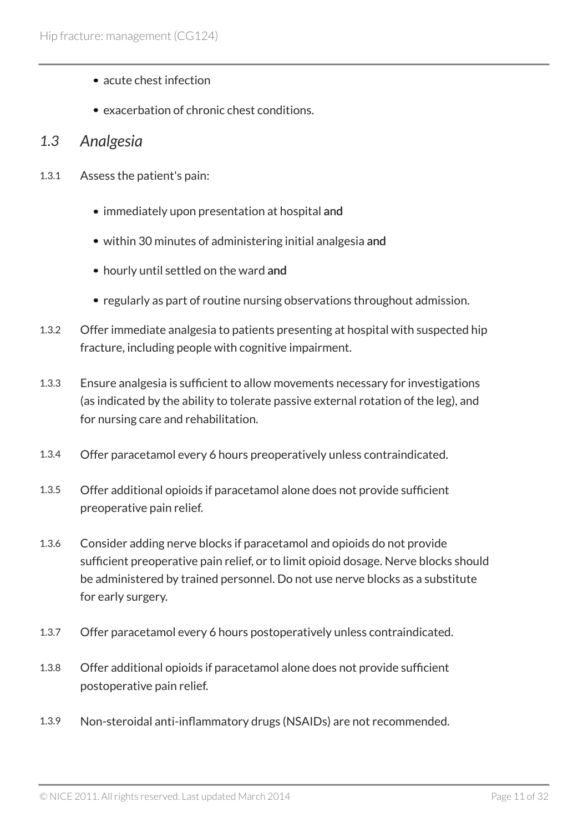- acute chest infection
- exacerbation of chronic chest conditions.

#### <span id="page-10-0"></span>*1.3 Analgesia*

- 1.3.1 Assess the patient's pain:
	- immediately upon presentation at hospital and
	- within 30 minutes of administering initial analgesia and
	- hourly until settled on the ward and
	- regularly as part of routine nursing observations throughout admission.
- 1.3.2 Offer immediate analgesia to patients presenting at hospital with suspected hip fracture, including people with cognitive impairment.
- 1.3.3 Ensure analgesia is sufficient to allow movements necessary for investigations (as indicated by the ability to tolerate passive external rotation of the leg), and for nursing care and rehabilitation.
- 1.3.4 Offer paracetamol every 6 hours preoperatively unless contraindicated.
- 1.3.5 Offer additional opioids if paracetamol alone does not provide sufficient preoperative pain relief.
- 1.3.6 Consider adding nerve blocks if paracetamol and opioids do not provide sufficient preoperative pain relief, or to limit opioid dosage. Nerve blocks should be administered by trained personnel. Do not use nerve blocks as a substitute for early surgery.
- 1.3.7 Offer paracetamol every 6 hours postoperatively unless contraindicated.
- 1.3.8 Offer additional opioids if paracetamol alone does not provide sufficient postoperative pain relief.
- 1.3.9 Non-steroidal anti-inflammatory drugs (NSAIDs) are not recommended.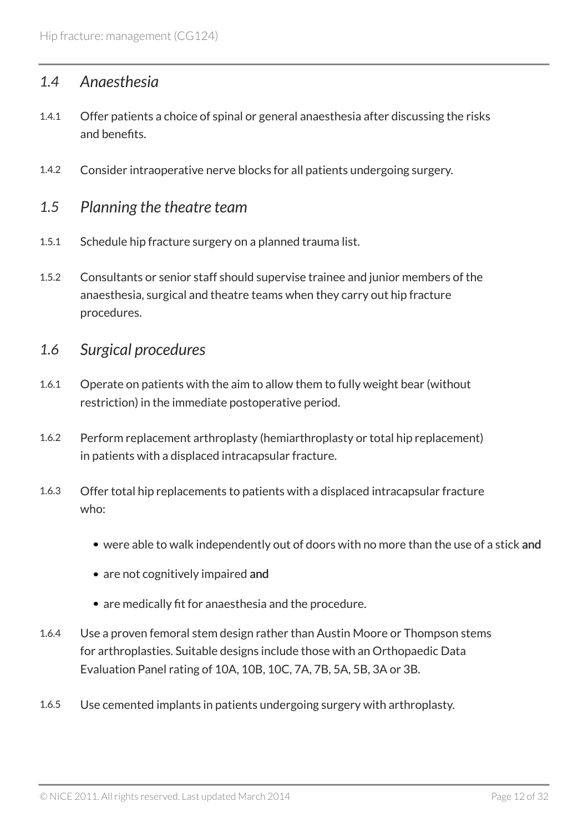### <span id="page-11-0"></span>*1.4 Anaesthesia*

- 1.4.1 Offer patients a choice of spinal or general anaesthesia after discussing the risks and benefits.
- 1.4.2 Consider intraoperative nerve blocks for all patients undergoing surgery.

#### <span id="page-11-1"></span>*1.5 Planning the theatre team*

- 1.5.1 Schedule hip fracture surgery on a planned trauma list.
- 1.5.2 Consultants or senior staff should supervise trainee and junior members of the anaesthesia, surgical and theatre teams when they carry out hip fracture procedures.

#### <span id="page-11-2"></span>*1.6 Surgical procedures*

- 1.6.1 Operate on patients with the aim to allow them to fully weight bear (without restriction) in the immediate postoperative period.
- 1.6.2 Perform replacement arthroplasty (hemiarthroplasty or total hip replacement) in patients with a displaced intracapsular fracture.
- 1.6.3 Offer total hip replacements to patients with a displaced intracapsular fracture who:
	- were able to walk independently out of doors with no more than the use of a stick and
	- are not cognitively impaired and
	- are medically fit for anaesthesia and the procedure.
- 1.6.4 Use a proven femoral stem design rather than Austin Moore or Thompson stems for arthroplasties. Suitable designs include those with an Orthopaedic Data Evaluation Panel rating of 10A, 10B, 10C, 7A, 7B, 5A, 5B, 3A or 3B.
- 1.6.5 Use cemented implants in patients undergoing surgery with arthroplasty.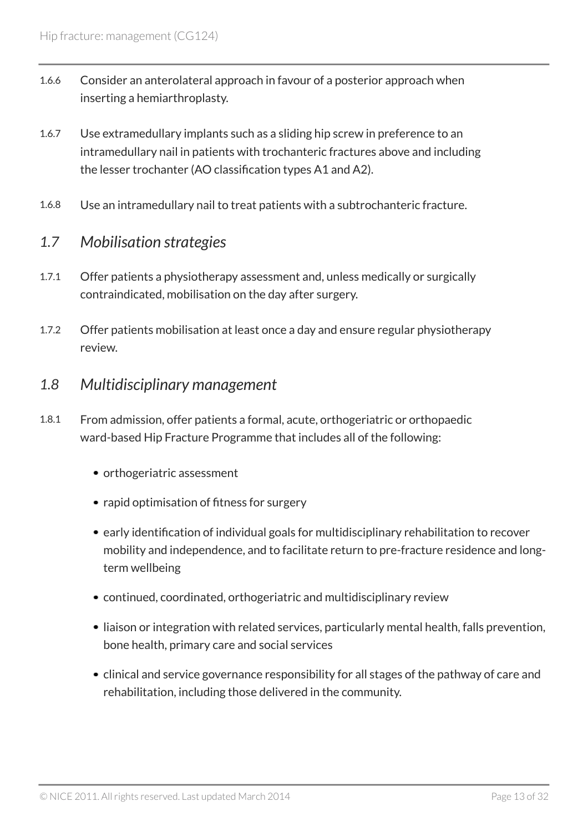- 1.6.6 Consider an anterolateral approach in favour of a posterior approach when inserting a hemiarthroplasty.
- 1.6.7 Use extramedullary implants such as a sliding hip screw in preference to an intramedullary nail in patients with trochanteric fractures above and including the lesser trochanter (AO classification types A1 and A2).
- 1.6.8 Use an intramedullary nail to treat patients with a subtrochanteric fracture.

### <span id="page-12-0"></span>*1.7 Mobilisation strategies*

- 1.7.1 Offer patients a physiotherapy assessment and, unless medically or surgically contraindicated, mobilisation on the day after surgery.
- 1.7.2 Offer patients mobilisation at least once a day and ensure regular physiotherapy review.

#### <span id="page-12-1"></span>*1.8 Multidisciplinary management*

- 1.8.1 From admission, offer patients a formal, acute, orthogeriatric or orthopaedic ward-based Hip Fracture Programme that includes all of the following:
	- orthogeriatric assessment
	- rapid optimisation of fitness for surgery
	- early identification of individual goals for multidisciplinary rehabilitation to recover mobility and independence, and to facilitate return to pre-fracture residence and longterm wellbeing
	- continued, coordinated, orthogeriatric and multidisciplinary review
	- liaison or integration with related services, particularly mental health, falls prevention, bone health, primary care and social services
	- clinical and service governance responsibility for all stages of the pathway of care and rehabilitation, including those delivered in the community.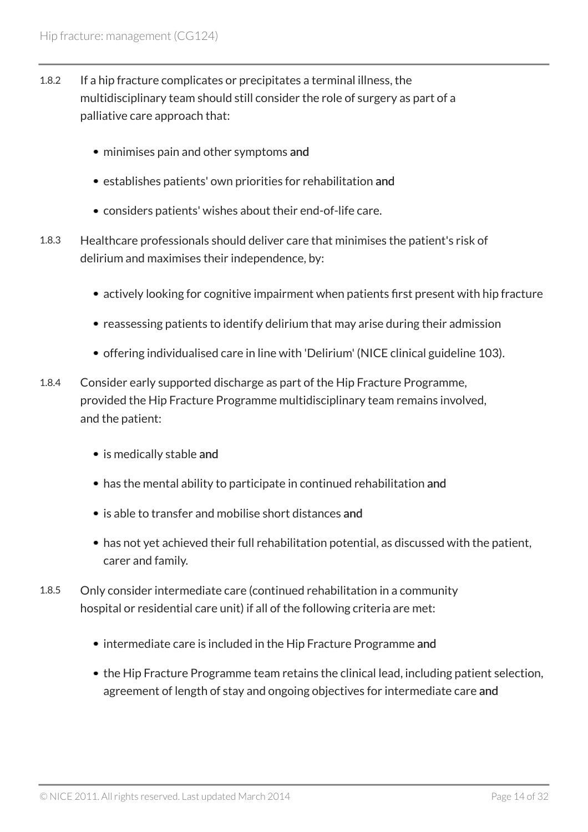- 1.8.2 If a hip fracture complicates or precipitates a terminal illness, the multidisciplinary team should still consider the role of surgery as part of a palliative care approach that:
	- minimises pain and other symptoms and
	- establishes patients' own priorities for rehabilitation and
	- considers patients' wishes about their end-of-life care.
- 1.8.3 Healthcare professionals should deliver care that minimises the patient's risk of delirium and maximises their independence, by:
	- actively looking for cognitive impairment when patients first present with hip fracture
	- reassessing patients to identify delirium that may arise during their admission
	- offering individualised care in line with 'Delirium' (NICE clinical guideline 103).
- 1.8.4 Consider early supported discharge as part of the Hip Fracture Programme, provided the Hip Fracture Programme multidisciplinary team remains involved, and the patient:
	- is medically stable and
	- has the mental ability to participate in continued rehabilitation and
	- is able to transfer and mobilise short distances and
	- has not yet achieved their full rehabilitation potential, as discussed with the patient, carer and family.
- 1.8.5 Only consider intermediate care (continued rehabilitation in a community hospital or residential care unit) if all of the following criteria are met:
	- intermediate care is included in the Hip Fracture Programme and
	- the Hip Fracture Programme team retains the clinical lead, including patient selection, agreement of length of stay and ongoing objectives for intermediate care and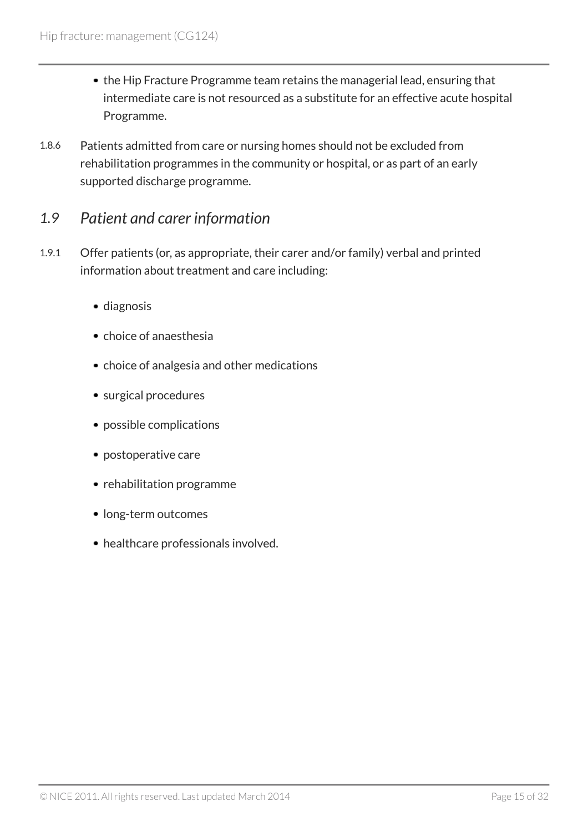- the Hip Fracture Programme team retains the managerial lead, ensuring that intermediate care is not resourced as a substitute for an effective acute hospital Programme.
- 1.8.6 Patients admitted from care or nursing homes should not be excluded from rehabilitation programmes in the community or hospital, or as part of an early supported discharge programme.

### <span id="page-14-0"></span>*1.9 Patient and carer information*

- 1.9.1 Offer patients (or, as appropriate, their carer and/or family) verbal and printed information about treatment and care including:
	- diagnosis
	- choice of anaesthesia
	- choice of analgesia and other medications
	- surgical procedures
	- possible complications
	- postoperative care
	- rehabilitation programme
	- long-term outcomes
	- healthcare professionals involved.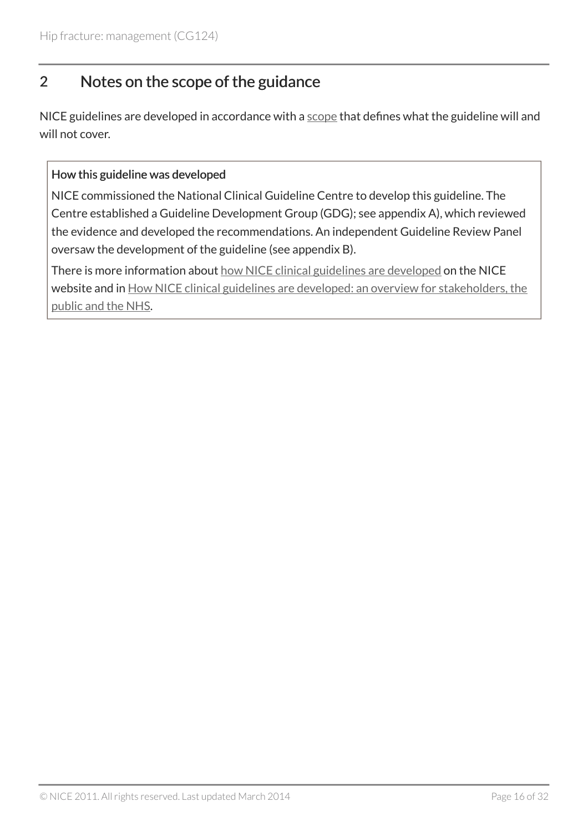### <span id="page-15-0"></span>2 Notes on the scope of the guidance

NICE guidelines are developed in accordance with a [scope](http://www.nice.org.uk/guidance/cg124/resources/hip-fracture-final-scope) that defines what the guideline will and will not cover.

#### How this guideline was developed

NICE commissioned the National Clinical Guideline Centre to develop this guideline. The Centre established a Guideline Development Group (GDG); see appendix A), which reviewed the evidence and developed the recommendations. An independent Guideline Review Panel oversaw the development of the guideline (see appendix B).

There is more information about [how NICE clinical guidelines are developed](http://www.nice.org.uk/about/what-we-do/our-programmes/nice-guidance/nice-guidelines) on the NICE website and in [How NICE clinical guidelines are developed: an overview for stakeholders, the](http://www.nice.org.uk/proxy/?sourceUrl=http%3a%2f%2fwww.nice.org.uk%2faboutnice%2fhowwework%2fdevelopingniceclinicalguidelines%2fdeveloping_nice_clinical_guidelines.jsp%3fdomedia%3d1%26mid%3d62F02D9B-19B9-E0B5-D4A26EC9A934FDC7) [public and the NHS](http://www.nice.org.uk/proxy/?sourceUrl=http%3a%2f%2fwww.nice.org.uk%2faboutnice%2fhowwework%2fdevelopingniceclinicalguidelines%2fdeveloping_nice_clinical_guidelines.jsp%3fdomedia%3d1%26mid%3d62F02D9B-19B9-E0B5-D4A26EC9A934FDC7).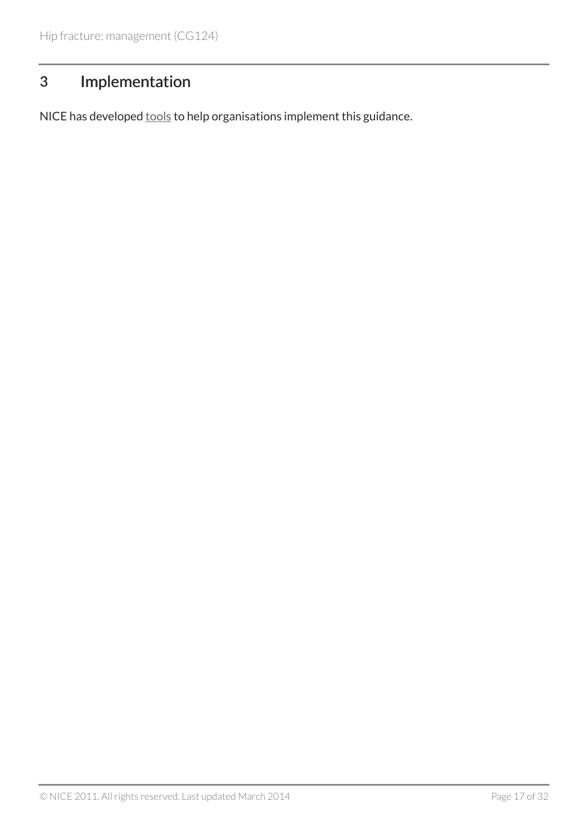# <span id="page-16-0"></span>3 Implementation

NICE has developed **[tools](http://www.nice.org.uk/guidance/cg124)** to help organisations implement this guidance.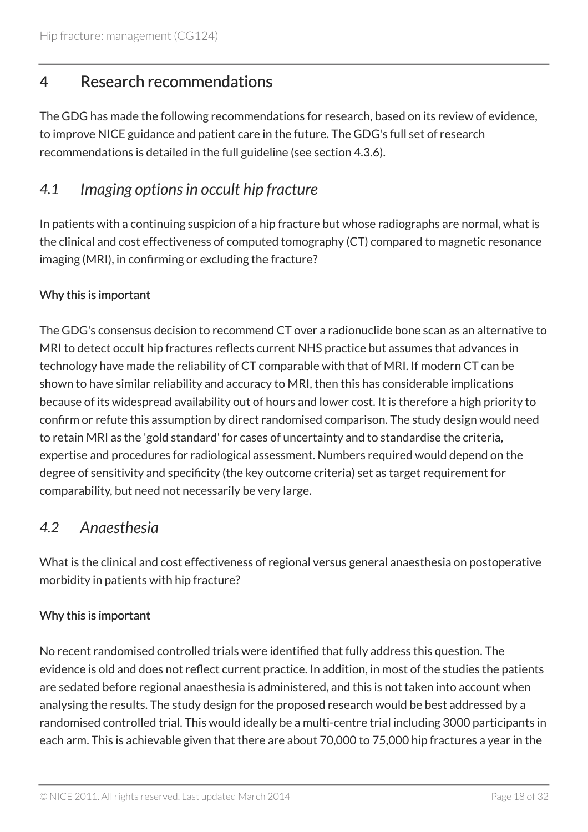### <span id="page-17-0"></span>4 Research recommendations

The GDG has made the following recommendations for research, based on its review of evidence, to improve NICE guidance and patient care in the future. The GDG's full set of research recommendations is detailed in the full guideline (see section 4.3.6).

### <span id="page-17-1"></span>*4.1 Imaging options in occult hip fracture*

In patients with a continuing suspicion of a hip fracture but whose radiographs are normal, what is the clinical and cost effectiveness of computed tomography (CT) compared to magnetic resonance imaging (MRI), in confirming or excluding the fracture?

#### Why this is important

The GDG's consensus decision to recommend CT over a radionuclide bone scan as an alternative to MRI to detect occult hip fractures reflects current NHS practice but assumes that advances in technology have made the reliability of CT comparable with that of MRI. If modern CT can be shown to have similar reliability and accuracy to MRI, then this has considerable implications because of its widespread availability out of hours and lower cost. It is therefore a high priority to confirm or refute this assumption by direct randomised comparison. The study design would need to retain MRI as the 'gold standard' for cases of uncertainty and to standardise the criteria, expertise and procedures for radiological assessment. Numbers required would depend on the degree of sensitivity and specificity (the key outcome criteria) set as target requirement for comparability, but need not necessarily be very large.

### <span id="page-17-2"></span>*4.2 Anaesthesia*

What is the clinical and cost effectiveness of regional versus general anaesthesia on postoperative morbidity in patients with hip fracture?

#### Why this is important

No recent randomised controlled trials were identified that fully address this question. The evidence is old and does not reflect current practice. In addition, in most of the studies the patients are sedated before regional anaesthesia is administered, and this is not taken into account when analysing the results. The study design for the proposed research would be best addressed by a randomised controlled trial. This would ideally be a multi-centre trial including 3000 participants in each arm. This is achievable given that there are about 70,000 to 75,000 hip fractures a year in the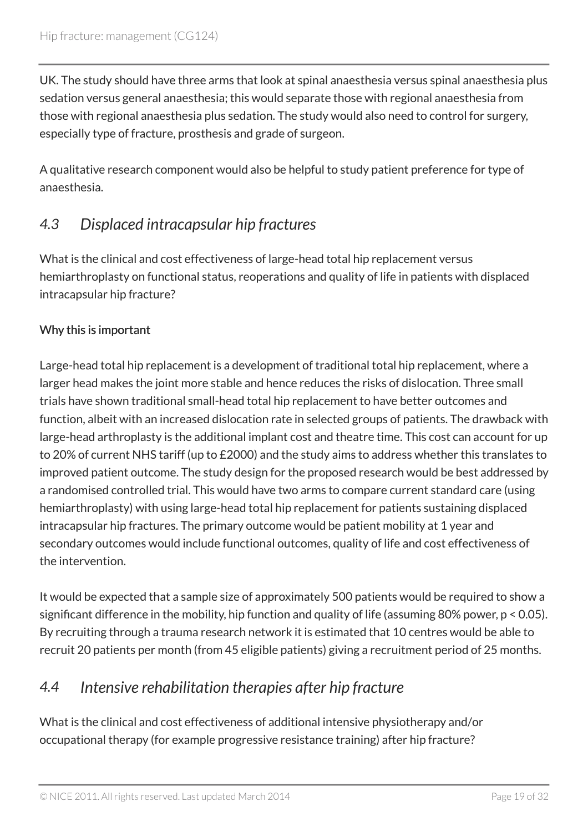UK. The study should have three arms that look at spinal anaesthesia versus spinal anaesthesia plus sedation versus general anaesthesia; this would separate those with regional anaesthesia from those with regional anaesthesia plus sedation. The study would also need to control for surgery, especially type of fracture, prosthesis and grade of surgeon.

A qualitative research component would also be helpful to study patient preference for type of anaesthesia.

# <span id="page-18-0"></span>*4.3 Displaced intracapsular hip fractures*

What is the clinical and cost effectiveness of large-head total hip replacement versus hemiarthroplasty on functional status, reoperations and quality of life in patients with displaced intracapsular hip fracture?

#### Why this is important

Large-head total hip replacement is a development of traditional total hip replacement, where a larger head makes the joint more stable and hence reduces the risks of dislocation. Three small trials have shown traditional small-head total hip replacement to have better outcomes and function, albeit with an increased dislocation rate in selected groups of patients. The drawback with large-head arthroplasty is the additional implant cost and theatre time. This cost can account for up to 20% of current NHS tariff (up to £2000) and the study aims to address whether this translates to improved patient outcome. The study design for the proposed research would be best addressed by a randomised controlled trial. This would have two arms to compare current standard care (using hemiarthroplasty) with using large-head total hip replacement for patients sustaining displaced intracapsular hip fractures. The primary outcome would be patient mobility at 1 year and secondary outcomes would include functional outcomes, quality of life and cost effectiveness of the intervention.

It would be expected that a sample size of approximately 500 patients would be required to show a significant difference in the mobility, hip function and quality of life (assuming 80% power, p < 0.05). By recruiting through a trauma research network it is estimated that 10 centres would be able to recruit 20 patients per month (from 45 eligible patients) giving a recruitment period of 25 months.

# <span id="page-18-1"></span>*4.4 Intensive rehabilitation therapies after hip fracture*

What is the clinical and cost effectiveness of additional intensive physiotherapy and/or occupational therapy (for example progressive resistance training) after hip fracture?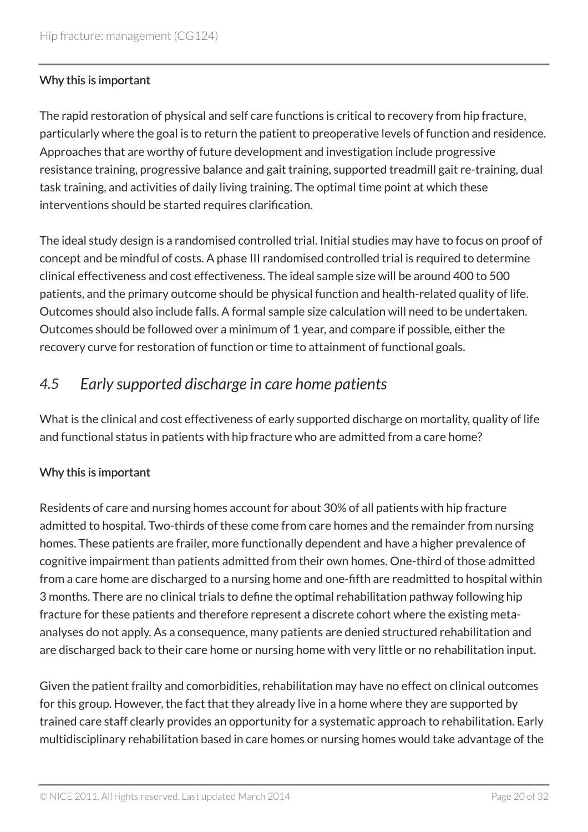#### Why this is important

The rapid restoration of physical and self care functions is critical to recovery from hip fracture, particularly where the goal is to return the patient to preoperative levels of function and residence. Approaches that are worthy of future development and investigation include progressive resistance training, progressive balance and gait training, supported treadmill gait re-training, dual task training, and activities of daily living training. The optimal time point at which these interventions should be started requires clarification.

The ideal study design is a randomised controlled trial. Initial studies may have to focus on proof of concept and be mindful of costs. A phase III randomised controlled trial is required to determine clinical effectiveness and cost effectiveness. The ideal sample size will be around 400 to 500 patients, and the primary outcome should be physical function and health-related quality of life. Outcomes should also include falls. A formal sample size calculation will need to be undertaken. Outcomes should be followed over a minimum of 1 year, and compare if possible, either the recovery curve for restoration of function or time to attainment of functional goals.

### <span id="page-19-0"></span>*4.5 Early supported discharge in care home patients*

What is the clinical and cost effectiveness of early supported discharge on mortality, quality of life and functional status in patients with hip fracture who are admitted from a care home?

#### Why this is important

Residents of care and nursing homes account for about 30% of all patients with hip fracture admitted to hospital. Two-thirds of these come from care homes and the remainder from nursing homes. These patients are frailer, more functionally dependent and have a higher prevalence of cognitive impairment than patients admitted from their own homes. One-third of those admitted from a care home are discharged to a nursing home and one-fifth are readmitted to hospital within 3 months. There are no clinical trials to define the optimal rehabilitation pathway following hip fracture for these patients and therefore represent a discrete cohort where the existing metaanalyses do not apply. As a consequence, many patients are denied structured rehabilitation and are discharged back to their care home or nursing home with very little or no rehabilitation input.

Given the patient frailty and comorbidities, rehabilitation may have no effect on clinical outcomes for this group. However, the fact that they already live in a home where they are supported by trained care staff clearly provides an opportunity for a systematic approach to rehabilitation. Early multidisciplinary rehabilitation based in care homes or nursing homes would take advantage of the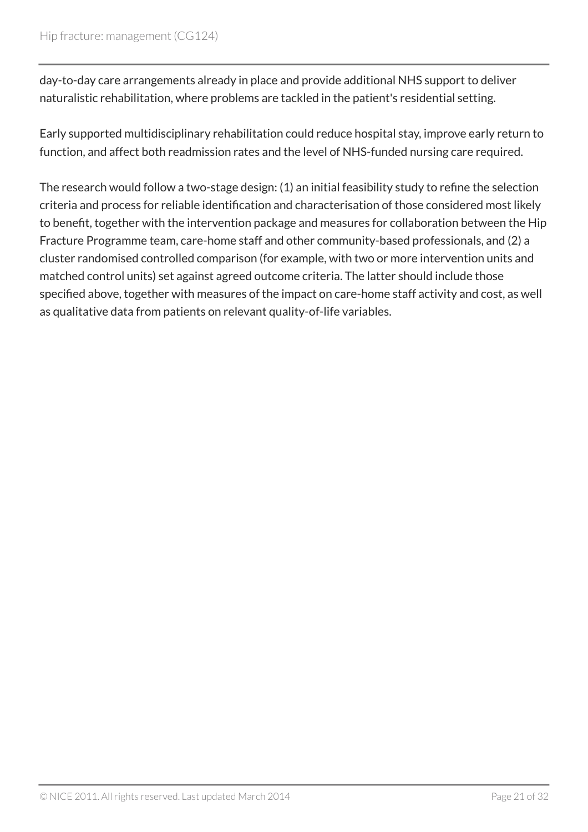day-to-day care arrangements already in place and provide additional NHS support to deliver naturalistic rehabilitation, where problems are tackled in the patient's residential setting.

Early supported multidisciplinary rehabilitation could reduce hospital stay, improve early return to function, and affect both readmission rates and the level of NHS-funded nursing care required.

The research would follow a two-stage design: (1) an initial feasibility study to refine the selection criteria and process for reliable identification and characterisation of those considered most likely to benefit, together with the intervention package and measures for collaboration between the Hip Fracture Programme team, care-home staff and other community-based professionals, and (2) a cluster randomised controlled comparison (for example, with two or more intervention units and matched control units) set against agreed outcome criteria. The latter should include those specified above, together with measures of the impact on care-home staff activity and cost, as well as qualitative data from patients on relevant quality-of-life variables.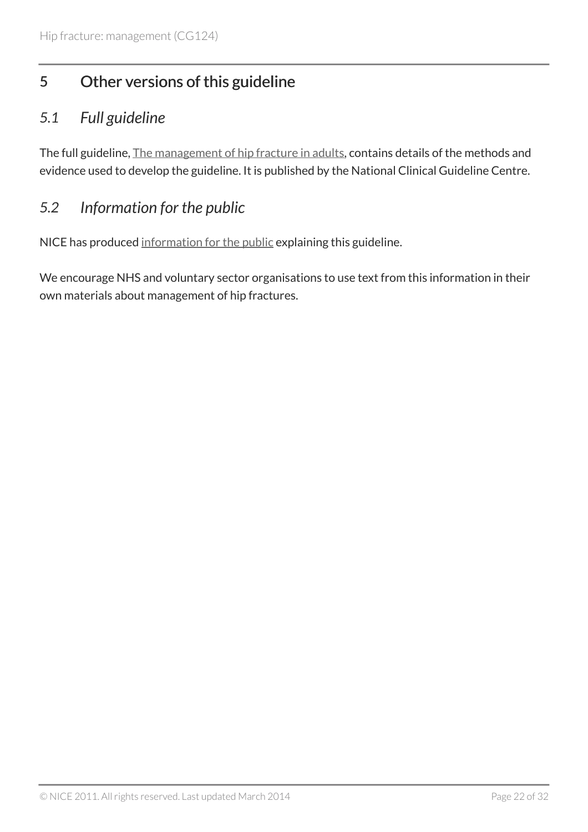# <span id="page-21-0"></span>5 Other versions of this guideline

### <span id="page-21-1"></span>*5.1 Full guideline*

The full guideline, [The management of hip fracture in adults](http://www.nice.org.uk/guidance/cg124/evidence), contains details of the methods and evidence used to develop the guideline. It is published by the National Clinical Guideline Centre.

### <span id="page-21-2"></span>*5.2 Information for the public*

NICE has produced [information for the public](http://www.nice.org.uk/guidance/cg124/informationforpublic) explaining this guideline.

We encourage NHS and voluntary sector organisations to use text from this information in their own materials about management of hip fractures.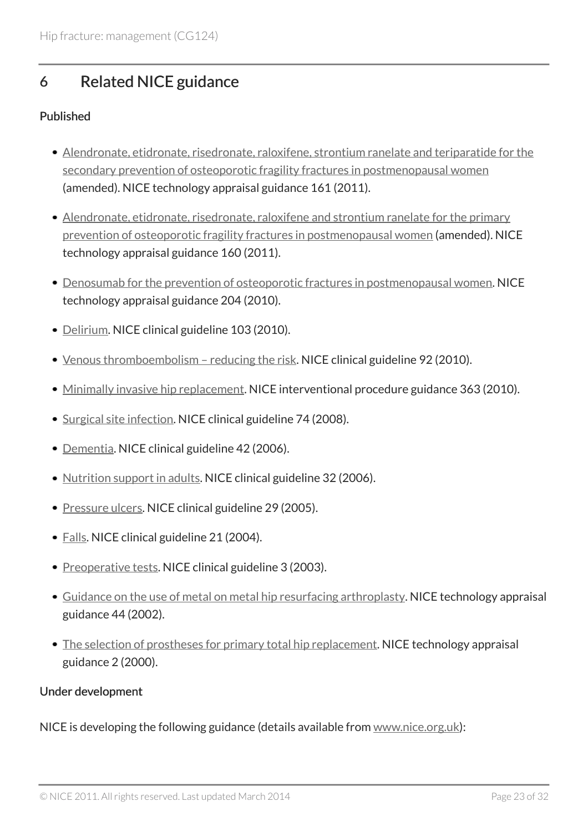# <span id="page-22-0"></span>6 Related NICE guidance

#### Published

- [Alendronate, etidronate, risedronate, raloxifene, strontium ranelate and teriparatide for the](http://www.nice.org.uk/guidance/ta161) [secondary prevention of osteoporotic fragility fractures in postmenopausal women](http://www.nice.org.uk/guidance/ta161) (amended). NICE technology appraisal guidance 161 (2011).
- [Alendronate, etidronate, risedronate, raloxifene and strontium ranelate for the primary](http://www.nice.org.uk/guidance/ta160) [prevention of osteoporotic fragility fractures in postmenopausal women](http://www.nice.org.uk/guidance/ta160) (amended). NICE technology appraisal guidance 160 (2011).
- [Denosumab for the prevention of osteoporotic fractures in postmenopausal women](http://www.nice.org.uk/guidance/ta204). NICE technology appraisal guidance 204 (2010).
- [Delirium](http://www.nice.org.uk/guidance/cg103). NICE clinical guideline 103 (2010).
- Venous thromboembolism reducing the risk. NICE clinical guideline 92 (2010).
- [Minimally invasive hip replacement](http://www.nice.org.uk/guidance/ipg363). NICE interventional procedure guidance 363 (2010).
- [Surgical site infection](http://www.nice.org.uk/guidance/cg74). NICE clinical guideline 74 (2008).
- [Dementia](http://www.nice.org.uk/guidance/cg42). NICE clinical guideline 42 (2006).
- [Nutrition support in adults](http://www.nice.org.uk/guidance/cg32). NICE clinical guideline 32 (2006).
- [Pressure ulcers](http://www.nice.org.uk/guidance/cg29). NICE clinical guideline 29 (2005).
- [Falls.](http://www.nice.org.uk/guidance/cg21) NICE clinical guideline 21 (2004).
- [Preoperative tests.](http://www.nice.org.uk/guidance/cg3) NICE clinical guideline 3 (2003).
- [Guidance on the use of metal on metal hip resurfacing arthroplasty.](http://www.nice.org.uk/guidance/ta44) NICE technology appraisal guidance 44 (2002).
- [The selection of prostheses for primary total hip replacement.](http://www.nice.org.uk/guidance/ta2) NICE technology appraisal guidance 2 (2000).

#### Under development

NICE is developing the following guidance (details available from [www.nice.org.uk\)](http://www.nice.org.uk/):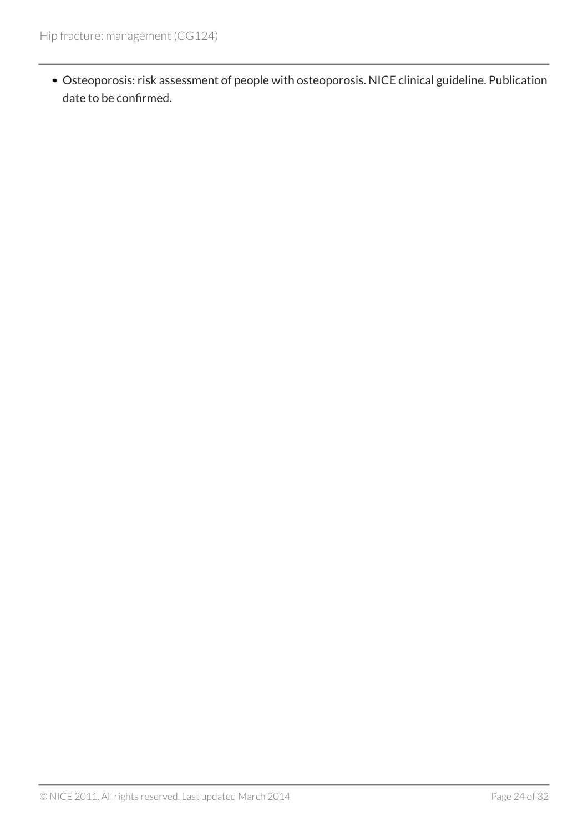Osteoporosis: risk assessment of people with osteoporosis. NICE clinical guideline. Publication date to be confirmed.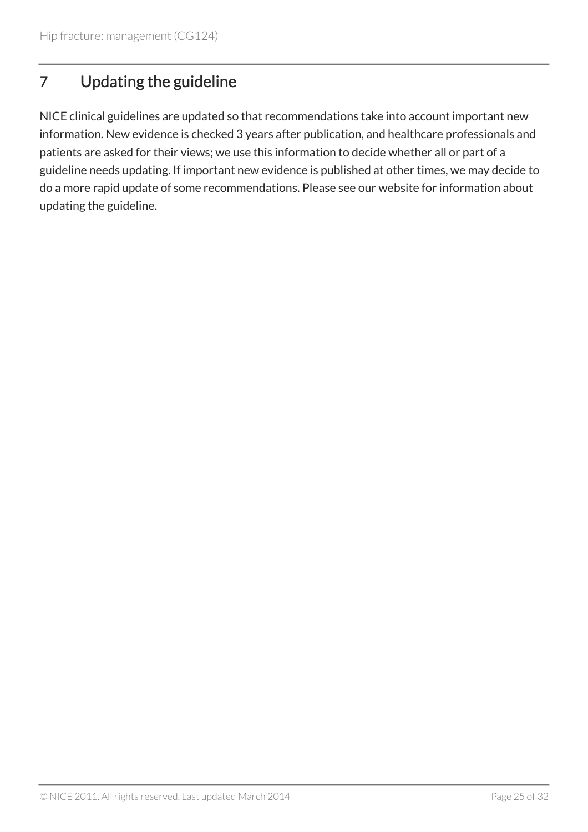# <span id="page-24-0"></span>7 Updating the guideline

NICE clinical guidelines are updated so that recommendations take into account important new information. New evidence is checked 3 years after publication, and healthcare professionals and patients are asked for their views; we use this information to decide whether all or part of a guideline needs updating. If important new evidence is published at other times, we may decide to do a more rapid update of some recommendations. Please see our website for information about updating the guideline.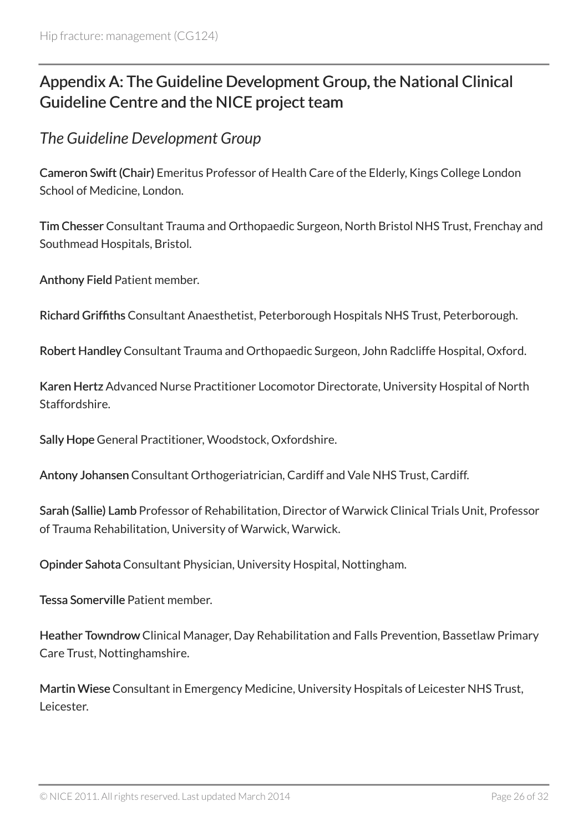# <span id="page-25-0"></span>Appendix A: The Guideline Development Group, the National Clinical Guideline Centre and the NICE project team

<span id="page-25-1"></span>*The Guideline Development Group*

Cameron Swift (Chair) Emeritus Professor of Health Care of the Elderly, Kings College London School of Medicine, London.

Tim Chesser Consultant Trauma and Orthopaedic Surgeon, North Bristol NHS Trust, Frenchay and Southmead Hospitals, Bristol.

Anthony Field Patient member.

Richard Griffiths Consultant Anaesthetist, Peterborough Hospitals NHS Trust, Peterborough.

Robert Handley Consultant Trauma and Orthopaedic Surgeon, John Radcliffe Hospital, Oxford.

Karen Hertz Advanced Nurse Practitioner Locomotor Directorate, University Hospital of North Staffordshire.

Sally Hope General Practitioner, Woodstock, Oxfordshire.

Antony Johansen Consultant Orthogeriatrician, Cardiff and Vale NHS Trust, Cardiff.

Sarah (Sallie) Lamb Professor of Rehabilitation, Director of Warwick Clinical Trials Unit, Professor of Trauma Rehabilitation, University of Warwick, Warwick.

Opinder Sahota Consultant Physician, University Hospital, Nottingham.

Tessa Somerville Patient member.

Heather Towndrow Clinical Manager, Day Rehabilitation and Falls Prevention, Bassetlaw Primary Care Trust, Nottinghamshire.

Martin Wiese Consultant in Emergency Medicine, University Hospitals of Leicester NHS Trust, Leicester.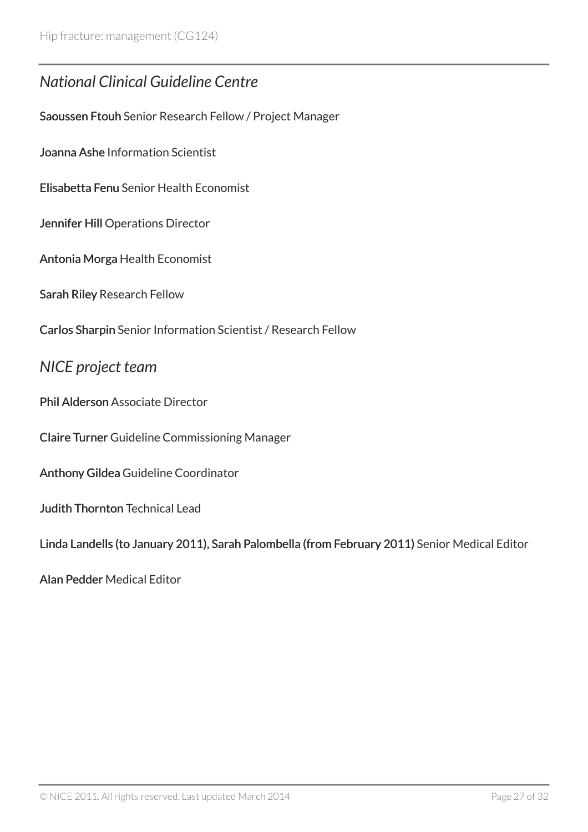### <span id="page-26-0"></span>*National Clinical Guideline Centre*

Saoussen Ftouh Senior Research Fellow / Project Manager

Joanna Ashe Information Scientist

Elisabetta Fenu Senior Health Economist

Jennifer Hill Operations Director

Antonia Morga Health Economist

Sarah Riley Research Fellow

Carlos Sharpin Senior Information Scientist / Research Fellow

#### <span id="page-26-1"></span>*NICE project team*

Phil Alderson Associate Director

Claire Turner Guideline Commissioning Manager

Anthony Gildea Guideline Coordinator

Judith Thornton Technical Lead

Linda Landells (to January 2011), Sarah Palombella (from February 2011) Senior Medical Editor

Alan Pedder Medical Editor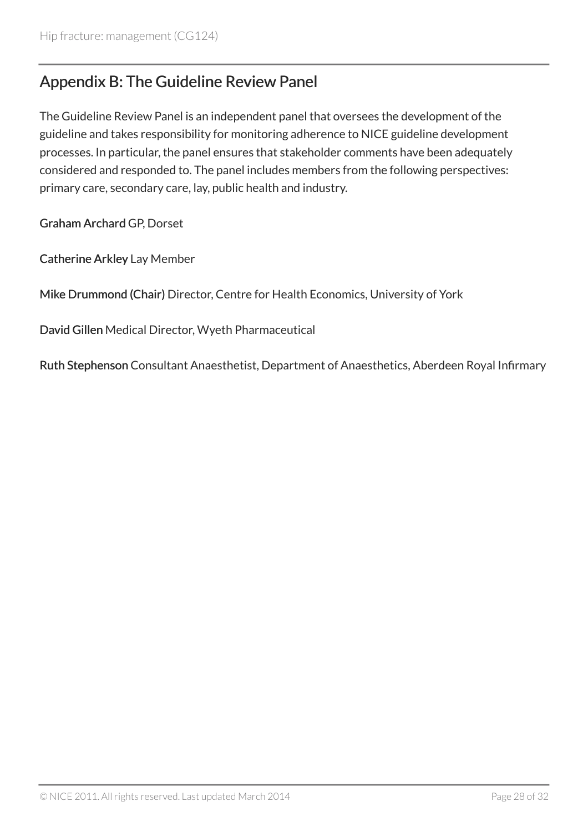### <span id="page-27-0"></span>Appendix B: The Guideline Review Panel

The Guideline Review Panel is an independent panel that oversees the development of the guideline and takes responsibility for monitoring adherence to NICE guideline development processes. In particular, the panel ensures that stakeholder comments have been adequately considered and responded to. The panel includes members from the following perspectives: primary care, secondary care, lay, public health and industry.

Graham Archard GP, Dorset

Catherine Arkley Lay Member

Mike Drummond (Chair) Director, Centre for Health Economics, University of York

David Gillen Medical Director, Wyeth Pharmaceutical

Ruth Stephenson Consultant Anaesthetist, Department of Anaesthetics, Aberdeen Royal Infirmary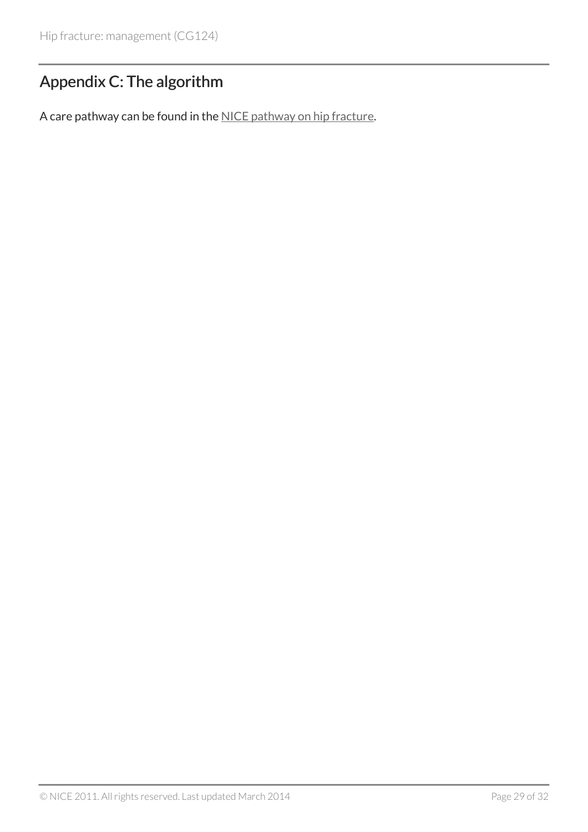# <span id="page-28-0"></span>Appendix C: The algorithm

A care pathway can be found in the [NICE pathway on hip fracture](http://pathways.nice.org.uk/pathways/hip-fracture).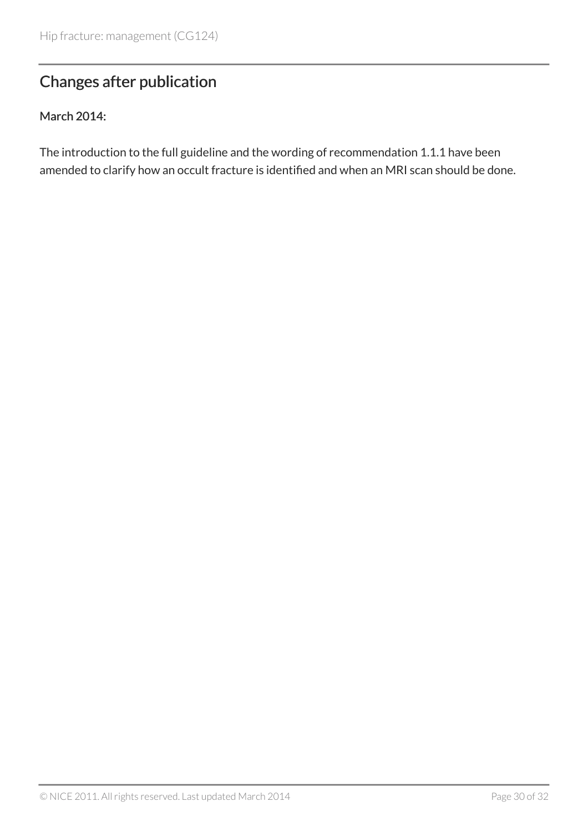# <span id="page-29-0"></span>Changes after publication

#### March 2014:

The introduction to the full guideline and the wording of recommendation 1.1.1 have been amended to clarify how an occult fracture is identified and when an MRI scan should be done.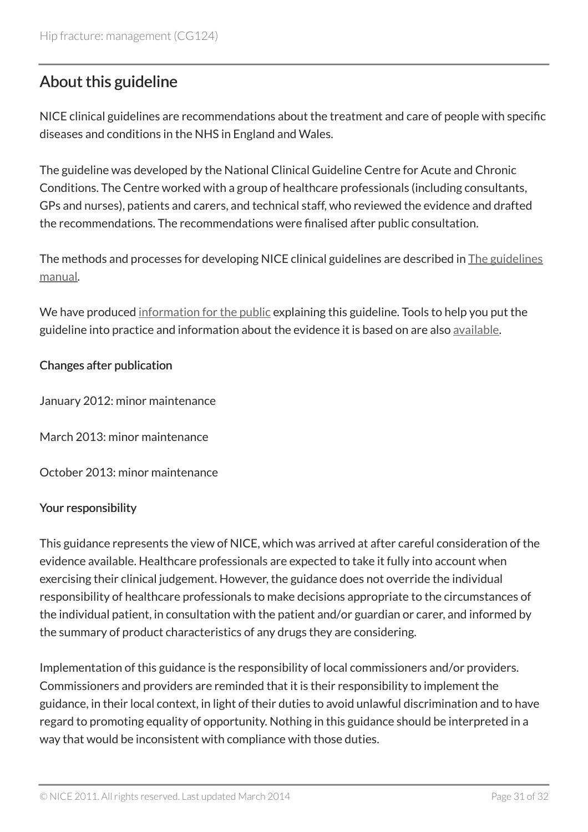# <span id="page-30-0"></span>About this guideline

NICE clinical guidelines are recommendations about the treatment and care of people with specific diseases and conditions in the NHS in England and Wales.

The guideline was developed by the National Clinical Guideline Centre for Acute and Chronic Conditions. The Centre worked with a group of healthcare professionals (including consultants, GPs and nurses), patients and carers, and technical staff, who reviewed the evidence and drafted the recommendations. The recommendations were finalised after public consultation.

The methods and processes for developing NICE clinical guidelines are described in [The guidelines](http://www.nice.org.uk/about/what-we-do/our-programmes/nice-guidance/nice-guidelines/nice-clinical-guidelines) [manual](http://www.nice.org.uk/about/what-we-do/our-programmes/nice-guidance/nice-guidelines/nice-clinical-guidelines).

We have produced [information for the public](http://www.nice.org.uk/guidance/cg124/informationforpublic) explaining this guideline. Tools to help you put the guideline into practice and information about the evidence it is based on are also [available](http://www.nice.org.uk/guidance/cg124).

#### Changes after publication

January 2012: minor maintenance

March 2013: minor maintenance

October 2013: minor maintenance

#### Your responsibility

This guidance represents the view of NICE, which was arrived at after careful consideration of the evidence available. Healthcare professionals are expected to take it fully into account when exercising their clinical judgement. However, the guidance does not override the individual responsibility of healthcare professionals to make decisions appropriate to the circumstances of the individual patient, in consultation with the patient and/or guardian or carer, and informed by the summary of product characteristics of any drugs they are considering.

Implementation of this guidance is the responsibility of local commissioners and/or providers. Commissioners and providers are reminded that it is their responsibility to implement the guidance, in their local context, in light of their duties to avoid unlawful discrimination and to have regard to promoting equality of opportunity. Nothing in this guidance should be interpreted in a way that would be inconsistent with compliance with those duties.